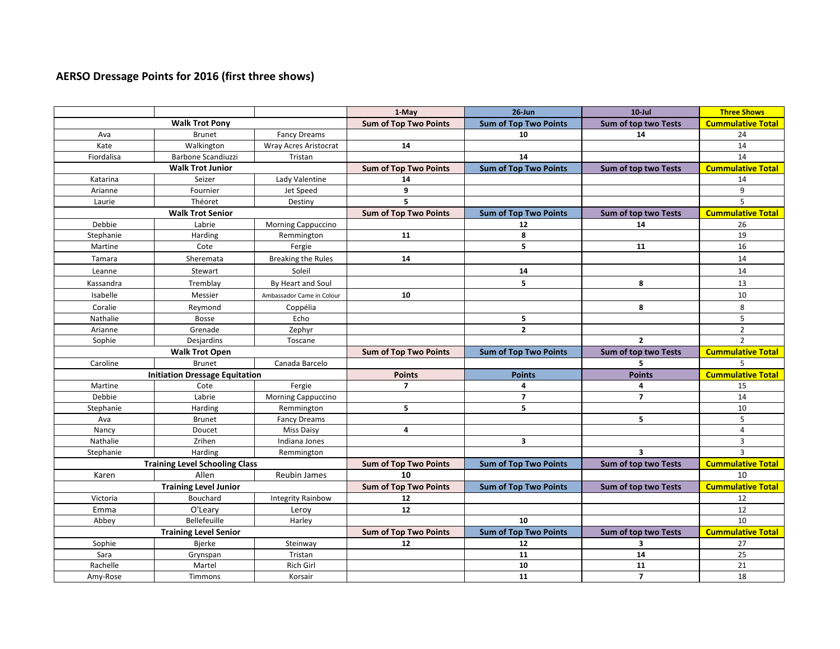## **AERSO Dressage Points for 2016 (first three shows)**

|                       |                                       |                             | 1-May                        | $26$ -Jun                    | $10$ -Jul                   | <b>Three Shows</b>       |
|-----------------------|---------------------------------------|-----------------------------|------------------------------|------------------------------|-----------------------------|--------------------------|
| <b>Walk Trot Pony</b> |                                       |                             | <b>Sum of Top Two Points</b> | <b>Sum of Top Two Points</b> | Sum of top two Tests        | <b>Cummulative Total</b> |
| Ava                   | <b>Brunet</b>                         | <b>Fancy Dreams</b>         |                              | 10                           | 14                          | 24                       |
| Kate                  | Walkington                            | Wray Acres Aristocrat       | 14                           |                              |                             | 14                       |
| Fiordalisa            | <b>Barbone Scandiuzzi</b>             | Tristan                     |                              | 14                           |                             | 14                       |
|                       | <b>Walk Trot Junior</b>               |                             | <b>Sum of Top Two Points</b> | <b>Sum of Top Two Points</b> | <b>Sum of top two Tests</b> | <b>Cummulative Total</b> |
| Katarina              | Seizer                                | Lady Valentine              | 14                           |                              |                             | 14                       |
| Arianne               | Fournier                              | Jet Speed                   | 9                            |                              |                             | 9                        |
| Laurie                | Théoret                               | Destiny                     | $\overline{5}$               |                              |                             | 5                        |
|                       | <b>Walk Trot Senior</b>               |                             | <b>Sum of Top Two Points</b> | <b>Sum of Top Two Points</b> | Sum of top two Tests        | <b>Cummulative Total</b> |
| Debbie                | Labrie                                | Morning Cappuccino          |                              | 12                           | 14                          | 26                       |
| Stephanie             | Harding                               | Remmington                  | 11                           | 8                            |                             | 19                       |
| Martine               | Cote                                  | Fergie                      |                              | 5                            | 11                          | 16                       |
| Tamara                | Sheremata                             | <b>Breaking the Rules</b>   | 14                           |                              |                             | 14                       |
| Leanne                | Stewart                               | Soleil                      |                              | 14                           |                             | 14                       |
| Kassandra             | Tremblay                              | By Heart and Soul           |                              | 5                            | 8                           | 13                       |
| Isabelle              | Messier                               | Ambassador Came in Colour   | 10                           |                              |                             | 10                       |
| Coralie               | Reymond                               | Coppélia                    |                              |                              | 8                           | 8                        |
| Nathalie              | <b>Bosse</b>                          | Echo                        |                              | 5                            |                             | 5                        |
| Arianne               | Grenade                               | Zephyr                      |                              | $\overline{2}$               |                             | $\overline{2}$           |
| Sophie                | Desjardins                            | Toscane                     |                              |                              | $\overline{2}$              | $\overline{2}$           |
|                       |                                       |                             |                              |                              |                             |                          |
|                       | <b>Walk Trot Open</b>                 |                             | <b>Sum of Top Two Points</b> | <b>Sum of Top Two Points</b> | Sum of top two Tests        | <b>Cummulative Total</b> |
| Caroline              | <b>Brunet</b>                         | Canada Barcelo              |                              |                              | 5                           | 5                        |
|                       | <b>Initiation Dressage Equitation</b> |                             | <b>Points</b>                | <b>Points</b>                | <b>Points</b>               | <b>Cummulative Total</b> |
| Martine               | Cote                                  | Fergie                      | $\overline{7}$               | 4                            | 4                           | 15                       |
| Debbie                | Labrie                                | <b>Morning Cappuccino</b>   |                              | $\overline{7}$               | $\overline{7}$              | 14                       |
| Stephanie             | Harding                               | Remmington                  | 5                            | 5                            |                             | 10                       |
| Ava                   | <b>Brunet</b>                         | <b>Fancy Dreams</b>         |                              |                              | 5                           | 5                        |
| Nancy                 | Doucet                                | <b>Miss Daisy</b>           | 4                            |                              |                             | $\overline{4}$           |
| Nathalie              | Zrihen                                | Indiana Jones               |                              | $\overline{\mathbf{3}}$      |                             | $\overline{3}$           |
| Stephanie             | Harding                               | Remmington                  |                              |                              | $\overline{\mathbf{3}}$     | $\overline{3}$           |
|                       | <b>Training Level Schooling Class</b> |                             | <b>Sum of Top Two Points</b> | <b>Sum of Top Two Points</b> | Sum of top two Tests        | <b>Cummulative Total</b> |
| Karen                 | Allen                                 | Reubin James                | 10                           |                              |                             | 10                       |
|                       | <b>Training Level Junior</b>          |                             | <b>Sum of Top Two Points</b> | <b>Sum of Top Two Points</b> | Sum of top two Tests        | <b>Cummulative Total</b> |
| Victoria              | Bouchard                              | <b>Integrity Rainbow</b>    | 12                           |                              |                             | 12                       |
| Emma                  | O'Leary                               | Leroy                       | ${\bf 12}$                   |                              |                             | 12                       |
| Abbey                 | Bellefeuille                          | Harley                      |                              | 10                           |                             | 10                       |
|                       | <b>Training Level Senior</b>          |                             | <b>Sum of Top Two Points</b> | <b>Sum of Top Two Points</b> | Sum of top two Tests        | <b>Cummulative Total</b> |
| Sophie                | Bjerke                                | Steinway                    | 12                           | 12                           | 3                           | 27                       |
| Sara                  | Grynspan                              | Tristan                     |                              | 11                           | 14                          | 25                       |
| Rachelle<br>Amy-Rose  | Martel<br>Timmons                     | <b>Rich Girl</b><br>Korsair |                              | 10<br>11                     | 11<br>$\overline{7}$        | 21<br>18                 |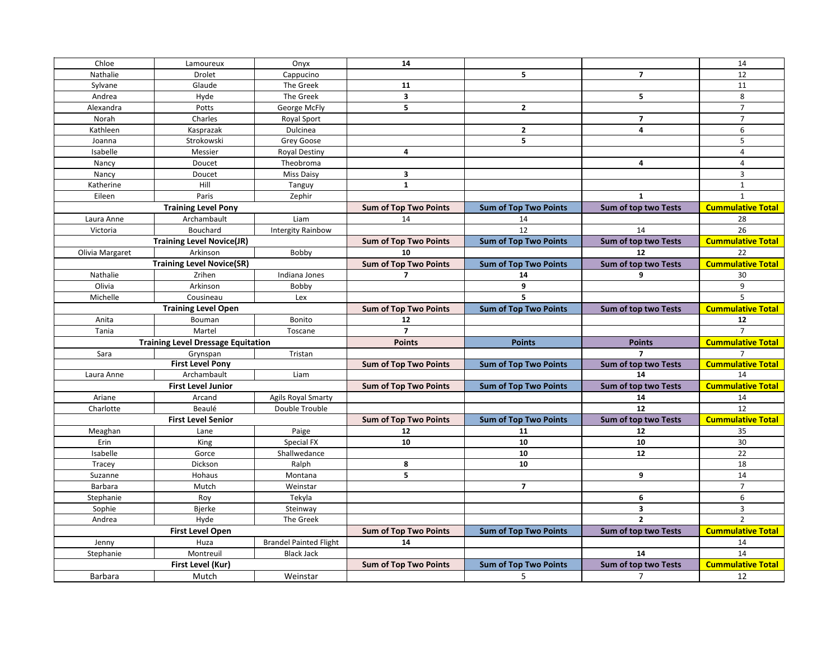| Chloe<br>14<br>Onyx<br>Lamoureux<br>5<br>$\overline{7}$<br>Nathalie<br>Drolet<br>Cappucino<br>Sylvane<br>Glaude<br>The Greek<br>11<br>$\overline{\mathbf{3}}$<br>5<br>Andrea<br>Hyde<br>The Greek<br>$\mathbf{2}$<br>Potts<br>George McFly<br>5<br>Alexandra<br>$\overline{7}$<br>Charles<br>Norah<br>Royal Sport<br>$\mathbf{2}$<br>4<br>Dulcinea<br>Kathleen<br>Kasprazak<br>5<br>Strokowski<br>Grey Goose<br>Joanna<br>$\overline{4}$<br>Isabelle<br>Messier<br><b>Royal Destiny</b><br>4<br>Nancy<br>Doucet<br>Theobroma<br>3<br><b>Miss Daisy</b><br>Nancy<br>Doucet<br>$\mathbf{1}$<br>Hill<br>Katherine<br>Tanguy<br>Paris<br>Eileen<br>Zephir<br>$\mathbf{1}$<br><b>Training Level Pony</b><br><b>Sum of Top Two Points</b><br><b>Sum of Top Two Points</b><br><b>Sum of top two Tests</b><br>Liam<br>Archambault<br>14<br>Laura Anne<br>14<br>12<br>14<br>Victoria<br>Bouchard<br><b>Intergity Rainbow</b><br>Sum of top two Tests<br><b>Training Level Novice(JR)</b><br><b>Sum of Top Two Points</b><br><b>Sum of Top Two Points</b><br>Arkinson<br>Bobby<br>10<br>Olivia Margaret<br>12<br><b>Training Level Novice(SR)</b><br><b>Sum of Top Two Points</b><br><b>Sum of Top Two Points</b><br>Sum of top two Tests<br>Nathalie<br>Zrihen<br>Indiana Jones<br>9<br>$\overline{7}$<br>14<br>9<br>Olivia<br>Arkinson<br>Bobby<br>5<br>Michelle<br>Cousineau<br>Lex<br><b>Training Level Open</b><br><b>Sum of Top Two Points</b><br><b>Sum of Top Two Points</b><br><b>Sum of top two Tests</b><br>Anita<br>Bouman<br>Bonito<br>12<br>Martel<br>$\overline{\phantom{a}}$<br>Tania<br>Toscane<br><b>Points</b><br><b>Points</b><br><b>Training Level Dressage Equitation</b><br><b>Points</b><br>$\overline{\phantom{a}}$<br>Sara<br>Grynspan<br>Tristan<br><b>First Level Pony</b><br><b>Sum of Top Two Points</b><br><b>Sum of Top Two Points</b><br>Sum of top two Tests<br>Archambault<br>Liam<br>14<br>Laura Anne<br><b>First Level Junior</b><br><b>Sum of Top Two Points</b><br><b>Sum of Top Two Points</b><br>Sum of top two Tests<br>Agils Royal Smarty<br>14<br>Ariane<br>Arcand<br>12<br>Charlotte<br>Beaulé<br>Double Trouble<br><b>Sum of top two Tests</b><br><b>First Level Senior</b><br><b>Sum of Top Two Points</b><br><b>Sum of Top Two Points</b><br>Meaghan<br>Paige<br>12<br>12<br>Lane<br>11<br>Erin<br>King<br>Special FX<br>10<br>10<br>10<br>10<br>12<br>Isabelle<br>Gorce<br>Shallwedance<br>10<br>Tracey<br>Dickson<br>Ralph<br>8<br>5<br>9<br>Hohaus<br>Suzanne<br>Montana<br>$\overline{7}$<br>Barbara<br>Mutch<br>Weinstar<br>6<br>Stephanie<br>Roy<br>Tekyla |                         |        |          |  |   |                          |
|--------------------------------------------------------------------------------------------------------------------------------------------------------------------------------------------------------------------------------------------------------------------------------------------------------------------------------------------------------------------------------------------------------------------------------------------------------------------------------------------------------------------------------------------------------------------------------------------------------------------------------------------------------------------------------------------------------------------------------------------------------------------------------------------------------------------------------------------------------------------------------------------------------------------------------------------------------------------------------------------------------------------------------------------------------------------------------------------------------------------------------------------------------------------------------------------------------------------------------------------------------------------------------------------------------------------------------------------------------------------------------------------------------------------------------------------------------------------------------------------------------------------------------------------------------------------------------------------------------------------------------------------------------------------------------------------------------------------------------------------------------------------------------------------------------------------------------------------------------------------------------------------------------------------------------------------------------------------------------------------------------------------------------------------------------------------------------------------------------------------------------------------------------------------------------------------------------------------------------------------------------------------------------------------------------------------------------------------------------------------------------------------------------------------------------------------------------------------------------------------------------------------------------------------------------------------------------------------------------|-------------------------|--------|----------|--|---|--------------------------|
|                                                                                                                                                                                                                                                                                                                                                                                                                                                                                                                                                                                                                                                                                                                                                                                                                                                                                                                                                                                                                                                                                                                                                                                                                                                                                                                                                                                                                                                                                                                                                                                                                                                                                                                                                                                                                                                                                                                                                                                                                                                                                                                                                                                                                                                                                                                                                                                                                                                                                                                                                                                                        |                         |        |          |  |   | 14                       |
|                                                                                                                                                                                                                                                                                                                                                                                                                                                                                                                                                                                                                                                                                                                                                                                                                                                                                                                                                                                                                                                                                                                                                                                                                                                                                                                                                                                                                                                                                                                                                                                                                                                                                                                                                                                                                                                                                                                                                                                                                                                                                                                                                                                                                                                                                                                                                                                                                                                                                                                                                                                                        |                         |        |          |  |   | 12                       |
|                                                                                                                                                                                                                                                                                                                                                                                                                                                                                                                                                                                                                                                                                                                                                                                                                                                                                                                                                                                                                                                                                                                                                                                                                                                                                                                                                                                                                                                                                                                                                                                                                                                                                                                                                                                                                                                                                                                                                                                                                                                                                                                                                                                                                                                                                                                                                                                                                                                                                                                                                                                                        |                         |        |          |  |   | 11                       |
|                                                                                                                                                                                                                                                                                                                                                                                                                                                                                                                                                                                                                                                                                                                                                                                                                                                                                                                                                                                                                                                                                                                                                                                                                                                                                                                                                                                                                                                                                                                                                                                                                                                                                                                                                                                                                                                                                                                                                                                                                                                                                                                                                                                                                                                                                                                                                                                                                                                                                                                                                                                                        |                         |        |          |  |   | 8                        |
|                                                                                                                                                                                                                                                                                                                                                                                                                                                                                                                                                                                                                                                                                                                                                                                                                                                                                                                                                                                                                                                                                                                                                                                                                                                                                                                                                                                                                                                                                                                                                                                                                                                                                                                                                                                                                                                                                                                                                                                                                                                                                                                                                                                                                                                                                                                                                                                                                                                                                                                                                                                                        |                         |        |          |  |   | $\overline{7}$           |
|                                                                                                                                                                                                                                                                                                                                                                                                                                                                                                                                                                                                                                                                                                                                                                                                                                                                                                                                                                                                                                                                                                                                                                                                                                                                                                                                                                                                                                                                                                                                                                                                                                                                                                                                                                                                                                                                                                                                                                                                                                                                                                                                                                                                                                                                                                                                                                                                                                                                                                                                                                                                        |                         |        |          |  |   | $\overline{7}$           |
|                                                                                                                                                                                                                                                                                                                                                                                                                                                                                                                                                                                                                                                                                                                                                                                                                                                                                                                                                                                                                                                                                                                                                                                                                                                                                                                                                                                                                                                                                                                                                                                                                                                                                                                                                                                                                                                                                                                                                                                                                                                                                                                                                                                                                                                                                                                                                                                                                                                                                                                                                                                                        |                         |        |          |  |   | $\boldsymbol{6}$         |
|                                                                                                                                                                                                                                                                                                                                                                                                                                                                                                                                                                                                                                                                                                                                                                                                                                                                                                                                                                                                                                                                                                                                                                                                                                                                                                                                                                                                                                                                                                                                                                                                                                                                                                                                                                                                                                                                                                                                                                                                                                                                                                                                                                                                                                                                                                                                                                                                                                                                                                                                                                                                        |                         |        |          |  |   | 5                        |
|                                                                                                                                                                                                                                                                                                                                                                                                                                                                                                                                                                                                                                                                                                                                                                                                                                                                                                                                                                                                                                                                                                                                                                                                                                                                                                                                                                                                                                                                                                                                                                                                                                                                                                                                                                                                                                                                                                                                                                                                                                                                                                                                                                                                                                                                                                                                                                                                                                                                                                                                                                                                        |                         |        |          |  |   | $\overline{4}$           |
|                                                                                                                                                                                                                                                                                                                                                                                                                                                                                                                                                                                                                                                                                                                                                                                                                                                                                                                                                                                                                                                                                                                                                                                                                                                                                                                                                                                                                                                                                                                                                                                                                                                                                                                                                                                                                                                                                                                                                                                                                                                                                                                                                                                                                                                                                                                                                                                                                                                                                                                                                                                                        |                         |        |          |  |   | $\overline{4}$           |
|                                                                                                                                                                                                                                                                                                                                                                                                                                                                                                                                                                                                                                                                                                                                                                                                                                                                                                                                                                                                                                                                                                                                                                                                                                                                                                                                                                                                                                                                                                                                                                                                                                                                                                                                                                                                                                                                                                                                                                                                                                                                                                                                                                                                                                                                                                                                                                                                                                                                                                                                                                                                        |                         |        |          |  |   | $\mathsf 3$              |
|                                                                                                                                                                                                                                                                                                                                                                                                                                                                                                                                                                                                                                                                                                                                                                                                                                                                                                                                                                                                                                                                                                                                                                                                                                                                                                                                                                                                                                                                                                                                                                                                                                                                                                                                                                                                                                                                                                                                                                                                                                                                                                                                                                                                                                                                                                                                                                                                                                                                                                                                                                                                        |                         |        |          |  |   | $\mathbf{1}$             |
|                                                                                                                                                                                                                                                                                                                                                                                                                                                                                                                                                                                                                                                                                                                                                                                                                                                                                                                                                                                                                                                                                                                                                                                                                                                                                                                                                                                                                                                                                                                                                                                                                                                                                                                                                                                                                                                                                                                                                                                                                                                                                                                                                                                                                                                                                                                                                                                                                                                                                                                                                                                                        |                         |        |          |  |   | $\mathbf{1}$             |
|                                                                                                                                                                                                                                                                                                                                                                                                                                                                                                                                                                                                                                                                                                                                                                                                                                                                                                                                                                                                                                                                                                                                                                                                                                                                                                                                                                                                                                                                                                                                                                                                                                                                                                                                                                                                                                                                                                                                                                                                                                                                                                                                                                                                                                                                                                                                                                                                                                                                                                                                                                                                        |                         |        |          |  |   | <b>Cummulative Total</b> |
|                                                                                                                                                                                                                                                                                                                                                                                                                                                                                                                                                                                                                                                                                                                                                                                                                                                                                                                                                                                                                                                                                                                                                                                                                                                                                                                                                                                                                                                                                                                                                                                                                                                                                                                                                                                                                                                                                                                                                                                                                                                                                                                                                                                                                                                                                                                                                                                                                                                                                                                                                                                                        |                         |        |          |  |   | 28                       |
|                                                                                                                                                                                                                                                                                                                                                                                                                                                                                                                                                                                                                                                                                                                                                                                                                                                                                                                                                                                                                                                                                                                                                                                                                                                                                                                                                                                                                                                                                                                                                                                                                                                                                                                                                                                                                                                                                                                                                                                                                                                                                                                                                                                                                                                                                                                                                                                                                                                                                                                                                                                                        |                         |        |          |  |   | 26                       |
|                                                                                                                                                                                                                                                                                                                                                                                                                                                                                                                                                                                                                                                                                                                                                                                                                                                                                                                                                                                                                                                                                                                                                                                                                                                                                                                                                                                                                                                                                                                                                                                                                                                                                                                                                                                                                                                                                                                                                                                                                                                                                                                                                                                                                                                                                                                                                                                                                                                                                                                                                                                                        |                         |        |          |  |   | <b>Cummulative Total</b> |
|                                                                                                                                                                                                                                                                                                                                                                                                                                                                                                                                                                                                                                                                                                                                                                                                                                                                                                                                                                                                                                                                                                                                                                                                                                                                                                                                                                                                                                                                                                                                                                                                                                                                                                                                                                                                                                                                                                                                                                                                                                                                                                                                                                                                                                                                                                                                                                                                                                                                                                                                                                                                        |                         |        |          |  |   | 22                       |
|                                                                                                                                                                                                                                                                                                                                                                                                                                                                                                                                                                                                                                                                                                                                                                                                                                                                                                                                                                                                                                                                                                                                                                                                                                                                                                                                                                                                                                                                                                                                                                                                                                                                                                                                                                                                                                                                                                                                                                                                                                                                                                                                                                                                                                                                                                                                                                                                                                                                                                                                                                                                        |                         |        |          |  |   | <b>Cummulative Total</b> |
|                                                                                                                                                                                                                                                                                                                                                                                                                                                                                                                                                                                                                                                                                                                                                                                                                                                                                                                                                                                                                                                                                                                                                                                                                                                                                                                                                                                                                                                                                                                                                                                                                                                                                                                                                                                                                                                                                                                                                                                                                                                                                                                                                                                                                                                                                                                                                                                                                                                                                                                                                                                                        |                         |        |          |  |   | 30                       |
|                                                                                                                                                                                                                                                                                                                                                                                                                                                                                                                                                                                                                                                                                                                                                                                                                                                                                                                                                                                                                                                                                                                                                                                                                                                                                                                                                                                                                                                                                                                                                                                                                                                                                                                                                                                                                                                                                                                                                                                                                                                                                                                                                                                                                                                                                                                                                                                                                                                                                                                                                                                                        |                         |        |          |  |   | 9                        |
|                                                                                                                                                                                                                                                                                                                                                                                                                                                                                                                                                                                                                                                                                                                                                                                                                                                                                                                                                                                                                                                                                                                                                                                                                                                                                                                                                                                                                                                                                                                                                                                                                                                                                                                                                                                                                                                                                                                                                                                                                                                                                                                                                                                                                                                                                                                                                                                                                                                                                                                                                                                                        |                         |        |          |  |   | 5                        |
|                                                                                                                                                                                                                                                                                                                                                                                                                                                                                                                                                                                                                                                                                                                                                                                                                                                                                                                                                                                                                                                                                                                                                                                                                                                                                                                                                                                                                                                                                                                                                                                                                                                                                                                                                                                                                                                                                                                                                                                                                                                                                                                                                                                                                                                                                                                                                                                                                                                                                                                                                                                                        |                         |        |          |  |   | <b>Cummulative Total</b> |
|                                                                                                                                                                                                                                                                                                                                                                                                                                                                                                                                                                                                                                                                                                                                                                                                                                                                                                                                                                                                                                                                                                                                                                                                                                                                                                                                                                                                                                                                                                                                                                                                                                                                                                                                                                                                                                                                                                                                                                                                                                                                                                                                                                                                                                                                                                                                                                                                                                                                                                                                                                                                        |                         |        |          |  |   | 12                       |
|                                                                                                                                                                                                                                                                                                                                                                                                                                                                                                                                                                                                                                                                                                                                                                                                                                                                                                                                                                                                                                                                                                                                                                                                                                                                                                                                                                                                                                                                                                                                                                                                                                                                                                                                                                                                                                                                                                                                                                                                                                                                                                                                                                                                                                                                                                                                                                                                                                                                                                                                                                                                        |                         |        |          |  |   | $\overline{7}$           |
|                                                                                                                                                                                                                                                                                                                                                                                                                                                                                                                                                                                                                                                                                                                                                                                                                                                                                                                                                                                                                                                                                                                                                                                                                                                                                                                                                                                                                                                                                                                                                                                                                                                                                                                                                                                                                                                                                                                                                                                                                                                                                                                                                                                                                                                                                                                                                                                                                                                                                                                                                                                                        |                         |        |          |  |   | <b>Cummulative Total</b> |
|                                                                                                                                                                                                                                                                                                                                                                                                                                                                                                                                                                                                                                                                                                                                                                                                                                                                                                                                                                                                                                                                                                                                                                                                                                                                                                                                                                                                                                                                                                                                                                                                                                                                                                                                                                                                                                                                                                                                                                                                                                                                                                                                                                                                                                                                                                                                                                                                                                                                                                                                                                                                        |                         |        |          |  |   | $\overline{7}$           |
|                                                                                                                                                                                                                                                                                                                                                                                                                                                                                                                                                                                                                                                                                                                                                                                                                                                                                                                                                                                                                                                                                                                                                                                                                                                                                                                                                                                                                                                                                                                                                                                                                                                                                                                                                                                                                                                                                                                                                                                                                                                                                                                                                                                                                                                                                                                                                                                                                                                                                                                                                                                                        |                         |        |          |  |   | <b>Cummulative Total</b> |
|                                                                                                                                                                                                                                                                                                                                                                                                                                                                                                                                                                                                                                                                                                                                                                                                                                                                                                                                                                                                                                                                                                                                                                                                                                                                                                                                                                                                                                                                                                                                                                                                                                                                                                                                                                                                                                                                                                                                                                                                                                                                                                                                                                                                                                                                                                                                                                                                                                                                                                                                                                                                        |                         |        |          |  |   | 14                       |
|                                                                                                                                                                                                                                                                                                                                                                                                                                                                                                                                                                                                                                                                                                                                                                                                                                                                                                                                                                                                                                                                                                                                                                                                                                                                                                                                                                                                                                                                                                                                                                                                                                                                                                                                                                                                                                                                                                                                                                                                                                                                                                                                                                                                                                                                                                                                                                                                                                                                                                                                                                                                        |                         |        |          |  |   | <b>Cummulative Total</b> |
|                                                                                                                                                                                                                                                                                                                                                                                                                                                                                                                                                                                                                                                                                                                                                                                                                                                                                                                                                                                                                                                                                                                                                                                                                                                                                                                                                                                                                                                                                                                                                                                                                                                                                                                                                                                                                                                                                                                                                                                                                                                                                                                                                                                                                                                                                                                                                                                                                                                                                                                                                                                                        |                         |        |          |  |   | 14                       |
|                                                                                                                                                                                                                                                                                                                                                                                                                                                                                                                                                                                                                                                                                                                                                                                                                                                                                                                                                                                                                                                                                                                                                                                                                                                                                                                                                                                                                                                                                                                                                                                                                                                                                                                                                                                                                                                                                                                                                                                                                                                                                                                                                                                                                                                                                                                                                                                                                                                                                                                                                                                                        |                         |        |          |  |   | 12                       |
|                                                                                                                                                                                                                                                                                                                                                                                                                                                                                                                                                                                                                                                                                                                                                                                                                                                                                                                                                                                                                                                                                                                                                                                                                                                                                                                                                                                                                                                                                                                                                                                                                                                                                                                                                                                                                                                                                                                                                                                                                                                                                                                                                                                                                                                                                                                                                                                                                                                                                                                                                                                                        |                         |        |          |  |   | <b>Cummulative Total</b> |
|                                                                                                                                                                                                                                                                                                                                                                                                                                                                                                                                                                                                                                                                                                                                                                                                                                                                                                                                                                                                                                                                                                                                                                                                                                                                                                                                                                                                                                                                                                                                                                                                                                                                                                                                                                                                                                                                                                                                                                                                                                                                                                                                                                                                                                                                                                                                                                                                                                                                                                                                                                                                        |                         |        |          |  |   | 35                       |
|                                                                                                                                                                                                                                                                                                                                                                                                                                                                                                                                                                                                                                                                                                                                                                                                                                                                                                                                                                                                                                                                                                                                                                                                                                                                                                                                                                                                                                                                                                                                                                                                                                                                                                                                                                                                                                                                                                                                                                                                                                                                                                                                                                                                                                                                                                                                                                                                                                                                                                                                                                                                        |                         |        |          |  |   | 30                       |
|                                                                                                                                                                                                                                                                                                                                                                                                                                                                                                                                                                                                                                                                                                                                                                                                                                                                                                                                                                                                                                                                                                                                                                                                                                                                                                                                                                                                                                                                                                                                                                                                                                                                                                                                                                                                                                                                                                                                                                                                                                                                                                                                                                                                                                                                                                                                                                                                                                                                                                                                                                                                        |                         |        |          |  |   | 22                       |
|                                                                                                                                                                                                                                                                                                                                                                                                                                                                                                                                                                                                                                                                                                                                                                                                                                                                                                                                                                                                                                                                                                                                                                                                                                                                                                                                                                                                                                                                                                                                                                                                                                                                                                                                                                                                                                                                                                                                                                                                                                                                                                                                                                                                                                                                                                                                                                                                                                                                                                                                                                                                        |                         |        |          |  |   | 18                       |
|                                                                                                                                                                                                                                                                                                                                                                                                                                                                                                                                                                                                                                                                                                                                                                                                                                                                                                                                                                                                                                                                                                                                                                                                                                                                                                                                                                                                                                                                                                                                                                                                                                                                                                                                                                                                                                                                                                                                                                                                                                                                                                                                                                                                                                                                                                                                                                                                                                                                                                                                                                                                        |                         |        |          |  |   | 14                       |
|                                                                                                                                                                                                                                                                                                                                                                                                                                                                                                                                                                                                                                                                                                                                                                                                                                                                                                                                                                                                                                                                                                                                                                                                                                                                                                                                                                                                                                                                                                                                                                                                                                                                                                                                                                                                                                                                                                                                                                                                                                                                                                                                                                                                                                                                                                                                                                                                                                                                                                                                                                                                        |                         |        |          |  |   | $\overline{7}$           |
|                                                                                                                                                                                                                                                                                                                                                                                                                                                                                                                                                                                                                                                                                                                                                                                                                                                                                                                                                                                                                                                                                                                                                                                                                                                                                                                                                                                                                                                                                                                                                                                                                                                                                                                                                                                                                                                                                                                                                                                                                                                                                                                                                                                                                                                                                                                                                                                                                                                                                                                                                                                                        |                         |        |          |  |   | 6                        |
|                                                                                                                                                                                                                                                                                                                                                                                                                                                                                                                                                                                                                                                                                                                                                                                                                                                                                                                                                                                                                                                                                                                                                                                                                                                                                                                                                                                                                                                                                                                                                                                                                                                                                                                                                                                                                                                                                                                                                                                                                                                                                                                                                                                                                                                                                                                                                                                                                                                                                                                                                                                                        | Sophie                  | Bjerke | Steinway |  | 3 | $\overline{3}$           |
| $\overline{2}$<br>Hyde<br>The Greek<br>Andrea                                                                                                                                                                                                                                                                                                                                                                                                                                                                                                                                                                                                                                                                                                                                                                                                                                                                                                                                                                                                                                                                                                                                                                                                                                                                                                                                                                                                                                                                                                                                                                                                                                                                                                                                                                                                                                                                                                                                                                                                                                                                                                                                                                                                                                                                                                                                                                                                                                                                                                                                                          |                         |        |          |  |   | $\overline{2}$           |
| <b>Sum of Top Two Points</b><br><b>Sum of Top Two Points</b><br><b>Sum of top two Tests</b>                                                                                                                                                                                                                                                                                                                                                                                                                                                                                                                                                                                                                                                                                                                                                                                                                                                                                                                                                                                                                                                                                                                                                                                                                                                                                                                                                                                                                                                                                                                                                                                                                                                                                                                                                                                                                                                                                                                                                                                                                                                                                                                                                                                                                                                                                                                                                                                                                                                                                                            | <b>First Level Open</b> |        |          |  |   | <b>Cummulative Total</b> |
| <b>Brandel Painted Flight</b><br>14<br>Huza<br>Jenny                                                                                                                                                                                                                                                                                                                                                                                                                                                                                                                                                                                                                                                                                                                                                                                                                                                                                                                                                                                                                                                                                                                                                                                                                                                                                                                                                                                                                                                                                                                                                                                                                                                                                                                                                                                                                                                                                                                                                                                                                                                                                                                                                                                                                                                                                                                                                                                                                                                                                                                                                   |                         |        |          |  |   | 14                       |
| Montreuil<br>14<br><b>Black Jack</b><br>Stephanie                                                                                                                                                                                                                                                                                                                                                                                                                                                                                                                                                                                                                                                                                                                                                                                                                                                                                                                                                                                                                                                                                                                                                                                                                                                                                                                                                                                                                                                                                                                                                                                                                                                                                                                                                                                                                                                                                                                                                                                                                                                                                                                                                                                                                                                                                                                                                                                                                                                                                                                                                      |                         |        |          |  |   | 14                       |
| Sum of top two Tests<br>First Level (Kur)<br><b>Sum of Top Two Points</b><br><b>Sum of Top Two Points</b>                                                                                                                                                                                                                                                                                                                                                                                                                                                                                                                                                                                                                                                                                                                                                                                                                                                                                                                                                                                                                                                                                                                                                                                                                                                                                                                                                                                                                                                                                                                                                                                                                                                                                                                                                                                                                                                                                                                                                                                                                                                                                                                                                                                                                                                                                                                                                                                                                                                                                              |                         |        |          |  |   | <b>Cummulative Total</b> |
| Barbara<br>Mutch<br>Weinstar<br>5<br>$\overline{7}$                                                                                                                                                                                                                                                                                                                                                                                                                                                                                                                                                                                                                                                                                                                                                                                                                                                                                                                                                                                                                                                                                                                                                                                                                                                                                                                                                                                                                                                                                                                                                                                                                                                                                                                                                                                                                                                                                                                                                                                                                                                                                                                                                                                                                                                                                                                                                                                                                                                                                                                                                    |                         |        |          |  |   |                          |